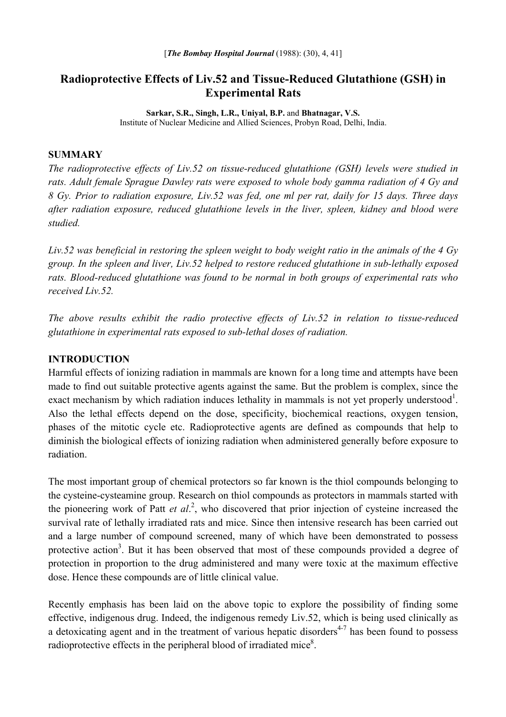# **Radioprotective Effects of Liv.52 and Tissue-Reduced Glutathione (GSH) in Experimental Rats**

**Sarkar, S.R., Singh, L.R., Uniyal, B.P.** and **Bhatnagar, V.S.** Institute of Nuclear Medicine and Allied Sciences, Probyn Road, Delhi, India.

#### **SUMMARY**

*The radioprotective effects of Liv.52 on tissue-reduced glutathione (GSH) levels were studied in rats. Adult female Sprague Dawley rats were exposed to whole body gamma radiation of 4 Gy and 8 Gy. Prior to radiation exposure, Liv.52 was fed, one ml per rat, daily for 15 days. Three days after radiation exposure, reduced glutathione levels in the liver, spleen, kidney and blood were studied.* 

*Liv.52 was beneficial in restoring the spleen weight to body weight ratio in the animals of the 4 Gy group. In the spleen and liver, Liv.52 helped to restore reduced glutathione in sub-lethally exposed rats. Blood-reduced glutathione was found to be normal in both groups of experimental rats who received Liv.52.* 

*The above results exhibit the radio protective effects of Liv.52 in relation to tissue-reduced glutathione in experimental rats exposed to sub-lethal doses of radiation.* 

## **INTRODUCTION**

Harmful effects of ionizing radiation in mammals are known for a long time and attempts have been made to find out suitable protective agents against the same. But the problem is complex, since the exact mechanism by which radiation induces lethality in mammals is not yet properly understood<sup>1</sup>. Also the lethal effects depend on the dose, specificity, biochemical reactions, oxygen tension, phases of the mitotic cycle etc. Radioprotective agents are defined as compounds that help to diminish the biological effects of ionizing radiation when administered generally before exposure to radiation.

The most important group of chemical protectors so far known is the thiol compounds belonging to the cysteine-cysteamine group. Research on thiol compounds as protectors in mammals started with the pioneering work of Patt *et al*. 2 , who discovered that prior injection of cysteine increased the survival rate of lethally irradiated rats and mice. Since then intensive research has been carried out and a large number of compound screened, many of which have been demonstrated to possess protective action<sup>3</sup>. But it has been observed that most of these compounds provided a degree of protection in proportion to the drug administered and many were toxic at the maximum effective dose. Hence these compounds are of little clinical value.

Recently emphasis has been laid on the above topic to explore the possibility of finding some effective, indigenous drug. Indeed, the indigenous remedy Liv.52, which is being used clinically as a detoxicating agent and in the treatment of various hepatic disorders<sup> $4-7$ </sup> has been found to possess radioprotective effects in the peripheral blood of irradiated mice<sup>8</sup>.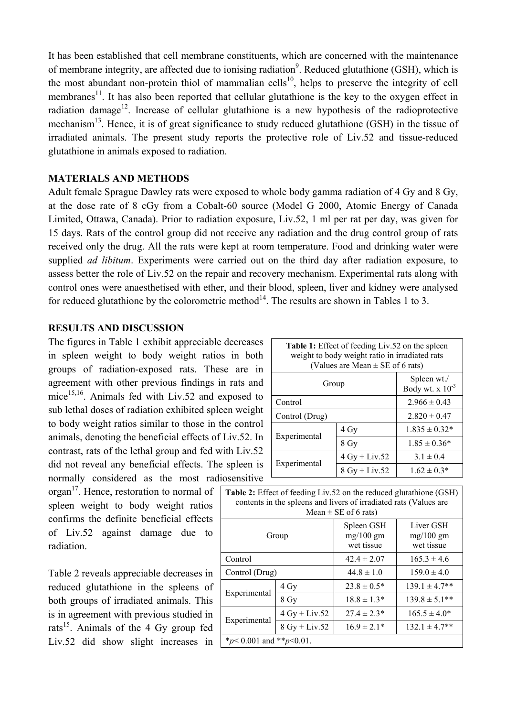It has been established that cell membrane constituents, which are concerned with the maintenance of membrane integrity, are affected due to ionising radiation<sup>9</sup>. Reduced glutathione (GSH), which is the most abundant non-protein thiol of mammalian cells<sup>10</sup>, helps to preserve the integrity of cell membranes<sup>11</sup>. It has also been reported that cellular glutathione is the key to the oxygen effect in radiation damage<sup>12</sup>. Increase of cellular glutathione is a new hypothesis of the radioprotective mechanism<sup>13</sup>. Hence, it is of great significance to study reduced glutathione (GSH) in the tissue of irradiated animals. The present study reports the protective role of Liv.52 and tissue-reduced glutathione in animals exposed to radiation.

## **MATERIALS AND METHODS**

Adult female Sprague Dawley rats were exposed to whole body gamma radiation of 4 Gy and 8 Gy, at the dose rate of 8 cGy from a Cobalt-60 source (Model G 2000, Atomic Energy of Canada Limited, Ottawa, Canada). Prior to radiation exposure, Liv.52, 1 ml per rat per day, was given for 15 days. Rats of the control group did not receive any radiation and the drug control group of rats received only the drug. All the rats were kept at room temperature. Food and drinking water were supplied *ad libitum*. Experiments were carried out on the third day after radiation exposure, to assess better the role of Liv.52 on the repair and recovery mechanism. Experimental rats along with control ones were anaesthetised with ether, and their blood, spleen, liver and kidney were analysed for reduced glutathione by the colorometric method<sup>14</sup>. The results are shown in Tables 1 to 3.

## **RESULTS AND DISCUSSION**

The figures in Table 1 exhibit appreciable decreases in spleen weight to body weight ratios in both groups of radiation-exposed rats. These are in agreement with other previous findings in rats and mice<sup>15,16</sup>. Animals fed with Liv.52 and exposed to sub lethal doses of radiation exhibited spleen weight to body weight ratios similar to those in the control animals, denoting the beneficial effects of Liv.52. In contrast, rats of the lethal group and fed with Liv.52 did not reveal any beneficial effects. The spleen is normally considered as the most radiosensitive

 $organ^{17}$ . Hence, restoration to normal of spleen weight to body weight ratios confirms the definite beneficial effects of Liv.52 against damage due to radiation.

Table 2 reveals appreciable decreases in reduced glutathione in the spleens of both groups of irradiated animals. This is in agreement with previous studied in rats<sup>15</sup>. Animals of the 4 Gy group fed Liv.52 did show slight increases in

| <b>Table 1:</b> Effect of feeding Liv.52 on the spleen<br>weight to body weight ratio in irradiated rats<br>(Values are Mean $\pm$ SE of 6 rats) |                 |                                     |  |  |
|--------------------------------------------------------------------------------------------------------------------------------------------------|-----------------|-------------------------------------|--|--|
| Group                                                                                                                                            |                 | Spleen wt./<br>Body wt. $x 10^{-3}$ |  |  |
| Control                                                                                                                                          |                 | $2.966 \pm 0.43$                    |  |  |
| Control (Drug)                                                                                                                                   |                 | $2.820 \pm 0.47$                    |  |  |
| Experimental                                                                                                                                     | 4 Gy            | $1.835 \pm 0.32*$                   |  |  |
|                                                                                                                                                  | 8 Gy            | $1.85 \pm 0.36*$                    |  |  |
| Experimental                                                                                                                                     | $4 Gy + Liv.52$ | $3.1 \pm 0.4$                       |  |  |
|                                                                                                                                                  | $8 Gy + Liv.52$ | $1.62 \pm 0.3*$                     |  |  |

| <b>Table 2:</b> Effect of feeding Liv.52 on the reduced glutathione (GSH)<br>contents in the spleens and livers of irradiated rats (Values are<br>Mean $\pm$ SE of 6 rats) |                 |                                         |                                        |  |
|----------------------------------------------------------------------------------------------------------------------------------------------------------------------------|-----------------|-----------------------------------------|----------------------------------------|--|
| Group                                                                                                                                                                      |                 | Spleen GSH<br>$mg/100$ gm<br>wet tissue | Liver GSH<br>$mg/100$ gm<br>wet tissue |  |
| Control                                                                                                                                                                    |                 | $42.4 \pm 2.07$                         | $165.3 \pm 4.6$                        |  |
| Control (Drug)                                                                                                                                                             |                 | $44.8 \pm 1.0$                          | $159.0 \pm 4.0$                        |  |
| Experimental                                                                                                                                                               | 4 Gy            | $23.8 \pm 0.5^*$                        | $139.1 \pm 4.7**$                      |  |
|                                                                                                                                                                            | 8 Gy            | $18.8 \pm 1.3*$                         | $139.8 \pm 5.1**$                      |  |
| Experimental                                                                                                                                                               | $4 Gy + Liv.52$ | $27.4 \pm 2.3*$                         | $165.5 \pm 4.0*$                       |  |
|                                                                                                                                                                            | $8 Gy + Liv.52$ | $16.9 \pm 2.1*$                         | $132.1 \pm 4.7**$                      |  |
| * $p$ < 0.001 and ** $p$ < 0.01.                                                                                                                                           |                 |                                         |                                        |  |
|                                                                                                                                                                            |                 |                                         |                                        |  |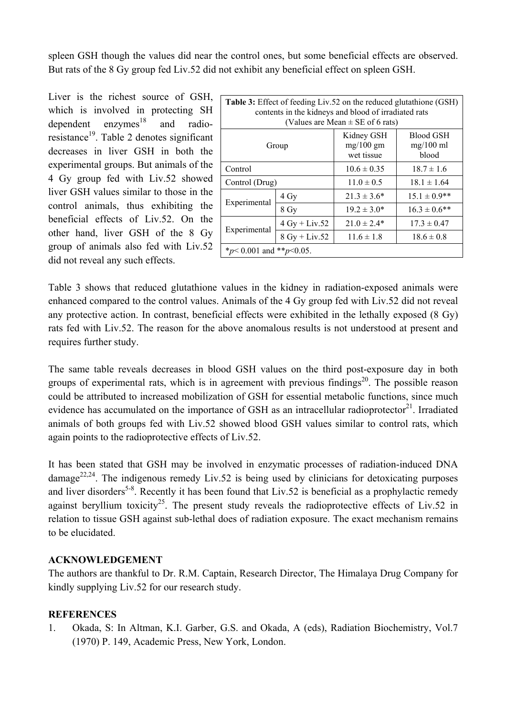spleen GSH though the values did near the control ones, but some beneficial effects are observed. But rats of the 8 Gy group fed Liv.52 did not exhibit any beneficial effect on spleen GSH.

Liver is the richest source of GSH, which is involved in protecting SH dependent  $enzymes<sup>18</sup>$ and radioresistance<sup>19</sup>. Table 2 denotes significant decreases in liver GSH in both the experimental groups. But animals of the 4 Gy group fed with Liv.52 showed liver GSH values similar to those in the control animals, thus exhibiting the beneficial effects of Liv.52. On the other hand, liver GSH of the 8 Gy group of animals also fed with Liv.52 did not reveal any such effects.

| <b>Table 3:</b> Effect of feeding Liv.52 on the reduced glutathione (GSH)<br>contents in the kidneys and blood of irradiated rats<br>(Values are Mean $\pm$ SE of 6 rats) |                 |                                         |                                          |  |  |
|---------------------------------------------------------------------------------------------------------------------------------------------------------------------------|-----------------|-----------------------------------------|------------------------------------------|--|--|
| Group                                                                                                                                                                     |                 | Kidney GSH<br>$mg/100$ gm<br>wet tissue | <b>Blood GSH</b><br>$mg/100$ ml<br>blood |  |  |
| Control                                                                                                                                                                   |                 | $10.6 \pm 0.35$                         | $18.7 \pm 1.6$                           |  |  |
| Control (Drug)                                                                                                                                                            |                 | $11.0 \pm 0.5$                          | $18.1 \pm 1.64$                          |  |  |
| Experimental                                                                                                                                                              | 4 Gy            | $21.3 \pm 3.6^*$                        | $15.1 \pm 0.9$ **                        |  |  |
|                                                                                                                                                                           | 8 Gy            | $19.2 \pm 3.0^*$                        | $16.3 \pm 0.6$ **                        |  |  |
| Experimental                                                                                                                                                              | $4 Gy + Liv.52$ | $21.0 \pm 2.4*$                         | $17.3 \pm 0.47$                          |  |  |
|                                                                                                                                                                           | $8 Gy + Liv.52$ | $11.6 \pm 1.8$                          | $18.6 \pm 0.8$                           |  |  |
| * $p$ < 0.001 and ** $p$ < 0.05.                                                                                                                                          |                 |                                         |                                          |  |  |

Table 3 shows that reduced glutathione values in the kidney in radiation-exposed animals were enhanced compared to the control values. Animals of the 4 Gy group fed with Liv.52 did not reveal any protective action. In contrast, beneficial effects were exhibited in the lethally exposed (8 Gy) rats fed with Liv.52. The reason for the above anomalous results is not understood at present and requires further study.

The same table reveals decreases in blood GSH values on the third post-exposure day in both groups of experimental rats, which is in agreement with previous findings<sup>20</sup>. The possible reason could be attributed to increased mobilization of GSH for essential metabolic functions, since much evidence has accumulated on the importance of GSH as an intracellular radioprotector<sup>21</sup>. Irradiated animals of both groups fed with Liv.52 showed blood GSH values similar to control rats, which again points to the radioprotective effects of Liv.52.

It has been stated that GSH may be involved in enzymatic processes of radiation-induced DNA  $\mu$  damage<sup>22,24</sup>. The indigenous remedy Liv.52 is being used by clinicians for detoxicating purposes and liver disorders<sup>5-8</sup>. Recently it has been found that Liv.52 is beneficial as a prophylactic remedy against beryllium toxicity<sup>25</sup>. The present study reveals the radioprotective effects of Liv.52 in relation to tissue GSH against sub-lethal does of radiation exposure. The exact mechanism remains to be elucidated.

## **ACKNOWLEDGEMENT**

The authors are thankful to Dr. R.M. Captain, Research Director, The Himalaya Drug Company for kindly supplying Liv.52 for our research study.

#### **REFERENCES**

1. Okada, S: In Altman, K.I. Garber, G.S. and Okada, A (eds), Radiation Biochemistry, Vol.7 (1970) P. 149, Academic Press, New York, London.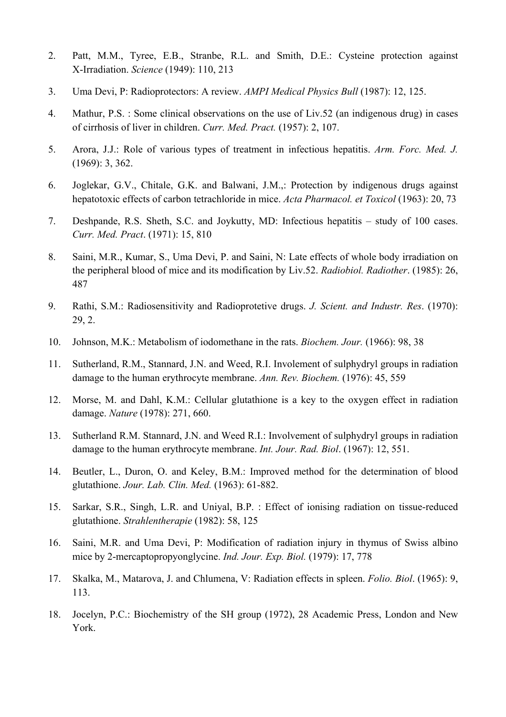- 2. Patt, M.M., Tyree, E.B., Stranbe, R.L. and Smith, D.E.: Cysteine protection against X-Irradiation. *Science* (1949): 110, 213
- 3. Uma Devi, P: Radioprotectors: A review. *AMPI Medical Physics Bull* (1987): 12, 125.
- 4. Mathur, P.S. : Some clinical observations on the use of Liv.52 (an indigenous drug) in cases of cirrhosis of liver in children. *Curr. Med. Pract.* (1957): 2, 107.
- 5. Arora, J.J.: Role of various types of treatment in infectious hepatitis. *Arm. Forc. Med. J.*  (1969): 3, 362.
- 6. Joglekar, G.V., Chitale, G.K. and Balwani, J.M.,: Protection by indigenous drugs against hepatotoxic effects of carbon tetrachloride in mice. *Acta Pharmacol. et Toxicol* (1963): 20, 73
- 7. Deshpande, R.S. Sheth, S.C. and Joykutty, MD: Infectious hepatitis study of 100 cases. *Curr. Med. Pract*. (1971): 15, 810
- 8. Saini, M.R., Kumar, S., Uma Devi, P. and Saini, N: Late effects of whole body irradiation on the peripheral blood of mice and its modification by Liv.52. *Radiobiol. Radiother*. (1985): 26, 487
- 9. Rathi, S.M.: Radiosensitivity and Radioprotetive drugs. *J. Scient. and Industr. Res*. (1970): 29, 2.
- 10. Johnson, M.K.: Metabolism of iodomethane in the rats. *Biochem. Jour.* (1966): 98, 38
- 11. Sutherland, R.M., Stannard, J.N. and Weed, R.I. Involement of sulphydryl groups in radiation damage to the human erythrocyte membrane. *Ann. Rev. Biochem.* (1976): 45, 559
- 12. Morse, M. and Dahl, K.M.: Cellular glutathione is a key to the oxygen effect in radiation damage. *Nature* (1978): 271, 660.
- 13. Sutherland R.M. Stannard, J.N. and Weed R.I.: Involvement of sulphydryl groups in radiation damage to the human erythrocyte membrane. *Int. Jour. Rad. Biol*. (1967): 12, 551.
- 14. Beutler, L., Duron, O. and Keley, B.M.: Improved method for the determination of blood glutathione. *Jour. Lab. Clin. Med.* (1963): 61-882.
- 15. Sarkar, S.R., Singh, L.R. and Uniyal, B.P. : Effect of ionising radiation on tissue-reduced glutathione. *Strahlentherapie* (1982): 58, 125
- 16. Saini, M.R. and Uma Devi, P: Modification of radiation injury in thymus of Swiss albino mice by 2-mercaptopropyonglycine. *Ind. Jour. Exp. Biol.* (1979): 17, 778
- 17. Skalka, M., Matarova, J. and Chlumena, V: Radiation effects in spleen. *Folio. Biol*. (1965): 9, 113.
- 18. Jocelyn, P.C.: Biochemistry of the SH group (1972), 28 Academic Press, London and New York.